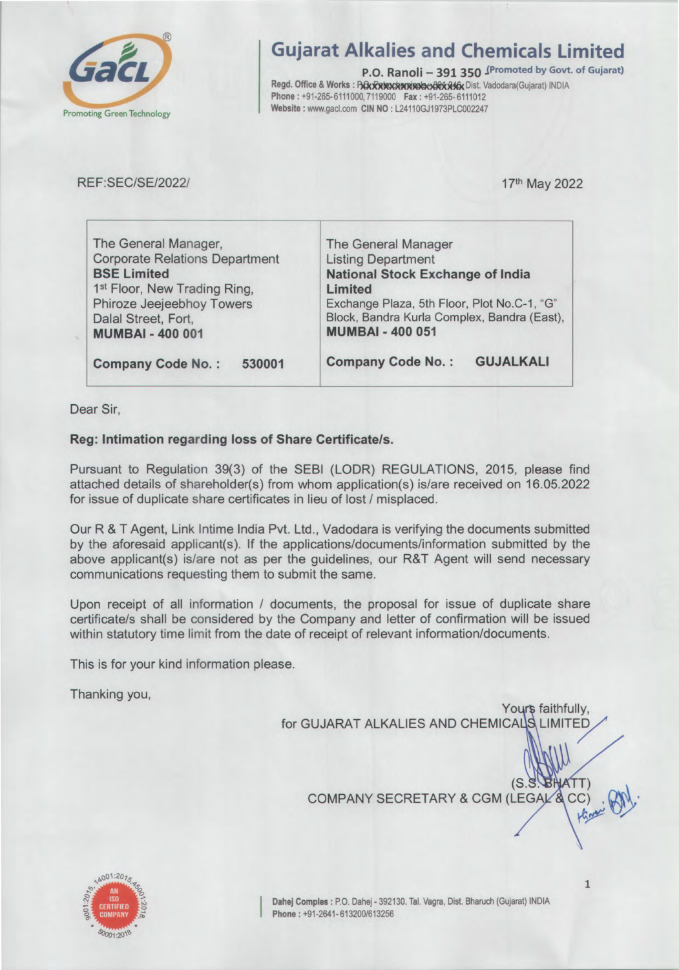

# **Gujarat Alkalies and Chemicals Limited**

P.O. Ranoli - 391 350 (Promoted by Govt. of Gujarat) Regd. Office & Works : BOxRANDORMANDORX ALG Dist. Vadodara (Gujarat) INDIA Phone: +91-265-6111000, 7119000 Fax: +91-265-6111012 Website: www.gacl.com CIN NO: L24110GJ1973PLC002247

**REF:SEC/SE/2022/** 

17th May 2022

| The General Manager,                     | The General Manager                          |  |  |  |
|------------------------------------------|----------------------------------------------|--|--|--|
| <b>Corporate Relations Department</b>    | <b>Listing Department</b>                    |  |  |  |
| <b>BSE Limited</b>                       | <b>National Stock Exchange of India</b>      |  |  |  |
| 1 <sup>st</sup> Floor, New Trading Ring, | Limited                                      |  |  |  |
| Phiroze Jeejeebhoy Towers                | Exchange Plaza, 5th Floor, Plot No.C-1, "G"  |  |  |  |
| Dalal Street, Fort,                      | Block, Bandra Kurla Complex, Bandra (East),  |  |  |  |
| <b>MUMBAI - 400 001</b>                  | <b>MUMBAI - 400 051</b>                      |  |  |  |
|                                          |                                              |  |  |  |
| <b>Company Code No.:</b><br>530001       | <b>GUJALKALI</b><br><b>Company Code No.:</b> |  |  |  |

Dear Sir,

# Reg: Intimation regarding loss of Share Certificate/s.

Pursuant to Regulation 39(3) of the SEBI (LODR) REGULATIONS, 2015, please find attached details of shareholder(s) from whom application(s) is/are received on 16.05.2022 for issue of duplicate share certificates in lieu of lost / misplaced.

Our R & T Agent, Link Intime India Pvt. Ltd., Vadodara is verifying the documents submitted by the aforesaid applicant(s). If the applications/documents/information submitted by the above applicant(s) is/are not as per the guidelines, our R&T Agent will send necessary communications requesting them to submit the same.

Upon receipt of all information / documents, the proposal for issue of duplicate share certificate/s shall be considered by the Company and letter of confirmation will be issued within statutory time limit from the date of receipt of relevant information/documents.

This is for your kind information please.

Thanking you,

Yours faithfully, for GUJARAT ALKALIES AND CHEMICALS LIMITED

COMPANY SECRETARY & CGM (LEGAL &



Dahej Comples : P.O. Dahej - 392130. Tal. Vagra, Dist. Bharuch (Gujarat) INDIA Phone: +91-2641-613200/613256

 $\mathbf{1}$ 

 $CC$ 

(S.S. BHATT)